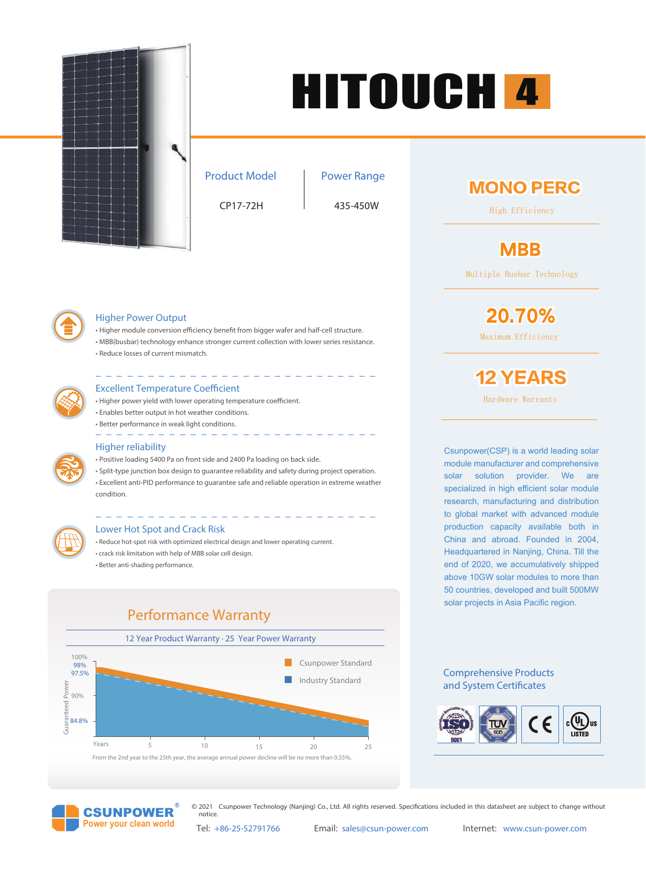

# HITOUCH 4

Product Model

#### Power Range

CP17-72H 435-450W

## **MONO PERC**

High Efficiency

# **MBB**

Multiple Busbar Technology

Maximum Efficiency

20.70%



#### Higher Power Output

- Higher module conversion efficiency benefit from bigger wafer and half-cell structure.
- MBB(busbar) technology enhance stronger current collection with lower series resistance. • Reduce losses of current mismatch.



#### **Excellent Temperature Coefficient**

- Higher power yield with lower operating temperature coefficient.
- Enables better output in hot weather conditions.
- Better performance in weak light conditions.

#### $\frac{1}{2} \frac{1}{2} \frac{1}{2} \frac{1}{2} \frac{1}{2} \frac{1}{2} \frac{1}{2} \frac{1}{2} \frac{1}{2}$ Higher reliability

- Positive loading 5400 Pa on front side and 2400 Pa loading on back side.
- Split-type junction box design to guarantee reliability and safety during project operation.
- Excellent anti-PID performance to guarantee safe and reliable operation in extreme weather condition.



#### Lower Hot Spot and Crack Risk

• Reduce hot-spot risk with optimized electrical design and lower operating current. • crack risk limitation with help of MBB solar cell design. • Better anti-shading performance.



**12 YEARS** 

Hardware Warranty

Csunpower(CSP) is a world leading solar module manufacturer and comprehensive solar solution provider. We are specialized in high efficient solar module research, manufacturing and distribution to global market with advanced module production capacity available both in China and abroad. Founded in 2004, Headquartered in Nanjing, China. Till the end of 2020, we accumulatively shipped above 10GW solar modules to more than 50 countries, developed and built 500MW solar projects in Asia Pacific region.

#### Comprehensive Products and System Certificates





© 2021 Csunpower Technology (Nanjing) Co., Ltd. All rights reserved. Specifications included in this datasheet are subject to change without notice.

Tel: +86-25-52791766 Email: sales@csun-power.com Internet: www.csun-power.com